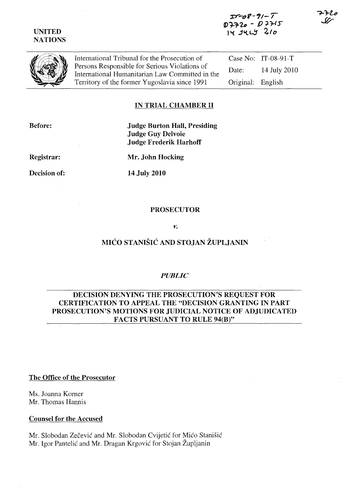*1Y"--(JV-11- /*   $D7720 - D7715$ IY JULY 210





International Tribunal for the Prosecution of Persons Responsible for Serious Violations of International Humanitarian Law Committed in the Territory of the fonner Yugoslavia since 1991

Case No: IT-08-91-T Date: 14 July 2010 Original: English

## IN TRIAL CHAMBER II

Before:

Judge Burton Hall, Presiding Judge Guy Delvoie Judge Frederik Harhoff

Registrar:

Mr. John Hocking

Decision of:

14 July 2010

#### PROSECUTOR

*v.* 

# MIĆO STANIŠIĆ AND STOJAN ŽUPLJANIN

#### *PUBLIC*

### DECISION DENYING THE PROSECUTION'S REQUEST FOR CERTIFICATION TO APPEAL THE "DECISION GRANTING IN PART PROSECUTION'S MOTIONS FOR JUDICIAL NOTICE OF ADJUDICATED FACTS PURSUANT TO RULE 94(B)"

#### The Office of the Prosecutor

Ms. Joanna Korner Mr. Thomas Hannis

#### Counsel for the Accused

Mr. Slobodan Zečević and Mr. Slobodan Cvijetić for Mićo Stanišić Mr. Igor Pantelić and Mr. Dragan Krgović for Stojan Župljanin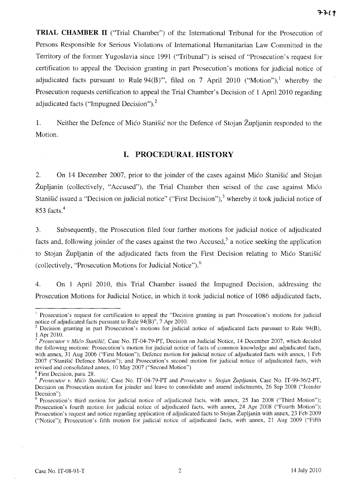**TRIAL CHAMBER 11** ("Trial Chamber") of the International Tribunal for the Prosecution of Persons Responsible for Serious Violations of International Humanitarian Law Committed in the Territory of the former Yugoslavia since 1991 ("Tribunal") is seised of "Prosecution's request for certification to appeal the 'Decision granting in part Prosecution's motions for judicial notice of adjudicated facts pursuant to Rule  $94(B)$ ", filed on 7 April 2010 ("Motion"),<sup>1</sup> whereby the Prosecution requests certification to appeal the Trial Chamber's Decision of 1 April 2010 regarding adjudicated facts ("Impugned Decision")?

1. Neither the Defence of Mico Stani§ic nor the Defence of Stojan Zupljanin responded to the Motion.

## **I. PROCEDURAL HISTORY**

2. On 14 December 2007, prior to the joinder of the cases against Mico Stani§ic and Stojan Zupljanin (collectively, "Accused"), the Trial Chamber then seised of the case against Mico Stanišić issued a "Decision on judicial notice" ("First Decision"),<sup>3</sup> whereby it took judicial notice of 853 facts. <sup>4</sup>

3. Subsequently, the Prosecution filed four further motions for judicial notice of adjudicated facts and, following joinder of the cases against the two Accused,<sup>5</sup> a notice seeking the application to Stojan Zupljanin of the adjudicated facts from the First Decision relating to Mico Stani§ic (collectively, "Prosecution Motions for Judicial Notice"). $<sup>6</sup>$ </sup>

4. On 1 April 2010, this Trial Chamber issued the Impugned Decision, addressing the Prosecution Motions for Judicial Notice, in which it took judicial notice of 1086 adjudicated facts,

<sup>&</sup>lt;sup>1</sup> Prosecution's request for certification to appeal the "Decision granting in part Prosecution's motions for judicial notice of adjudicated facts pursuant to Rule 94(B)", 7 Apr 2010.

<sup>2</sup> Decision granting in part Prosecution's motions for judicial notice of adjudicated facts pursuant to Rule 94(B), 1 Apr 2010.

<sup>&</sup>lt;sup>3</sup> Prosecutor v Mićo Stanišič, Case No. IT-04-79-PT, Decision on Judicial Notice, 14 December 2007, which decided the following motions: Prosecution's motion for judicial notice of facts of common knowledge and adjudicated facts, with annex, 31 Aug 2006 ("First Motion"); Defence motion for judicial notice of adjudicated facts with annex, 1 Feb 2007 ("Stanisic Defence Motion"); and Prosecution's second motion for judicial notice of adjudicated facts, with revised and consolidated annex, 10 May 2007 ("Second Motion").

<sup>&</sup>lt;sup>4</sup> First Decision, para. 28.

*<sup>5</sup> Prosecutor* v. *Mic'o Stanisie,* Case No. IT-04-79-PT and *Prosecutor* v. *Stojan ZupUanin,* Case No. IT-99-36/2-PT, Decision on Prosecution motion for joinder and leave to consolidate and amend indictments, 26 Sep 2008 ("Joinder Decision").

 $6$  Prosecution's third motion for judicial notice of adjudicated facts, with annex, 25 Jan 2008 ("Third Motion"); Prosecution's fourth motion for judicial notice of adjudicated facts, with annex, 24 Apr 2008 ("Fourth Motion"); Prosecution's request and notice regarding application of adjudicated facts to Stojan Zupljanin with annex, 23 Feb 2009 ("Notice"); Prosecution's fifth motion for judicial notice of adjudicated facts, with annex, 21 Aug 2009 ("Fifth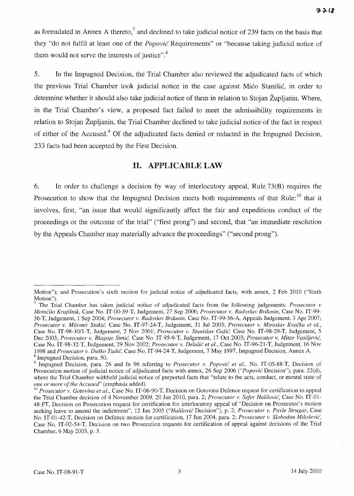as formulated in Annex A thereto, $<sup>7</sup>$  and declined to take judicial notice of 239 facts on the basis that</sup> they "do not fulfil at least one of the *Popovic* Requirements" or "because taking judicial notice of them would not serve the interests of justice".<sup>8</sup>

5. In the Impugned Decision, the Trial Chamber also reviewed the adjudicated facts of which the previous Trial Chamber took judicial notice in the case against Mico Stanisic, in order to determine whether it should also take judicial notice of them in relation to Stojan Zupljanin. Where, in the Trial Chamber's view, a proposed fact failed to meet the admissibility requirements in relation to Stojan Zupljanin, the Trial Chamber declined to take judicial notice of the fact in respect of either of the Accused.<sup>9</sup> Of the adjudicated facts denied or redacted in the Impugned Decision, 233 facts had been accepted by the First Decision.

## II. APPLICABLE LAW

6. In order to challenge a decision by way of interlocutory appeal, Rule 73(B) requires the Prosecution to show that the Impugned Decision meets both requirements of that Rule:<sup>10</sup> that it involves, first, "an issue that would significantly affect the fair and expeditious conduct of the proceedings or the outcome of the trial" ("first prong") and second, that "an immediate resolution by the Appeals Chamber may materially advance the proceedings" ("second prong").

Motion"); and Prosecution's sixth motion for judicial notice of adjudicated facts, with annex, 2 Feb 2010 ("Sixth Motion").

<sup>7</sup> The Trial Chamber has taken judicial notice of adjudicated facts from the following judgements: *Prosecutor v MomCilo Kraji,snik,* Case No. IT-00-39-T, Judgement, 27 Sep 2006; *Prosecutor v. Radoslav Brdanin,* Case No. IT-99- 36-T, Judgement, 1 Sep 2004; *Prosecutor v. Radoslav Brdanin,* Case No. IT-99-36-A, Appeals Judgement, 3 Apr 2007; *Prosecutor v. Milomir Stakic.* Case No. IT-97-24-T, Judgement, 31 Jul 2003; *Prosecutor v. Miroslav Kvocka et aI.,*  Case No. IT-98-30/1-T, Judgement, 2 Nov 2001; *Prosecutor v. Stanislav Galić*, Case No. IT-98-29-T, Judgement, 5 Dec 2003; *Prosecutor v. Blagoje Simic,* Case No. IT-95-9-T, Judgement, 17 Oct 2003; *Prosecutor v. Mitar Vasi(jevic,*  Case No. IT-98-32-T, Judgement, 29 Nov 2002; *Prosecutor v. Delalic et aI.,* Case No. IT-96-21-T, Judgement, 16 Nov 1998 and *Prosecutor v. Dulko Tadic,* Case No. IT-94-24-T, Judgement, 7 May 1997, Impugned Decision, Annex A. 8 Impugned Decision, para. 50.

<sup>&</sup>lt;sup>9</sup> Impugned Decision, para. 26 and fn 96 referring to *Prosecutor v. Popović et al.*, No. IT-05-88-T, Decision of Prosecution motion of judicial notice of adjudicated facts with annex, 26 Sep 2006 ("Popovic Decision"), para. 22(d), where the Trial Chamber withheld judicial notice of purported facts that "relate to the acts, conduct, or mental state of *one or more of the Accused"* (emphasis added).

<sup>&</sup>lt;sup>10</sup> Prosecutor v. Gotovina et al., Case No. IT-06-90-T, Decision on Gotovina Defence request for certification to appeal the Trial Chamber decision of4 November 2009, 20 Jan 2010, para. 2; *Prosecutor v. Sefer Halilovic,* Case No. IT-Ol-48-PT, Decision on Prosecution request for certification for interlocutory appeal of "Decision on Prosecutor's motion seeking leave to amend the indictment", 12 Jan 2005 *("Halilovic* Decision"), p. 2; *Prosecutor v. Pavle Strugar,* Case No. IT-01-42-T, Decision on Defence motion for certification, 17 Jun 2004, para. 2; *Prosecutor v. Slobodan Milosevic<,*  Case No. IT-02-54-T, Decision on two Prosecution requests for certification of appeal against decisions of the Trial Chamber, 6 May 2003, p. 3.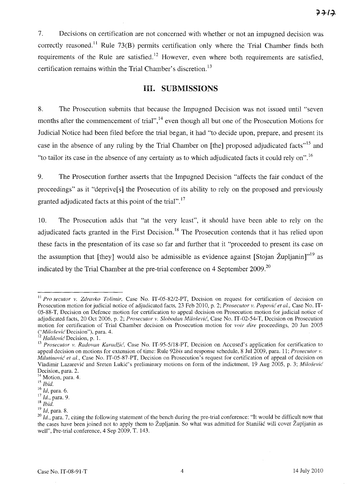7. Decisions on certification are not concerned with whether or not an impugned decision was correctly reasoned.<sup>11</sup> Rule 73(B) permits certification only where the Trial Chamber finds both requirements of the Rule are satisfied.<sup>12</sup> However, even where both requirements are satisfied, certification remains within the Trial Chamber's discretion. <sup>13</sup>

### **HI. SUBMISSIONS**

8. The Prosecution submits that because the Impugned Decision was not issued until "seven months after the commencement of trial",<sup>14</sup> even though all but one of the Prosecution Motions for Judicial Notice had been filed before the trial began, it had "to decide upon, prepare, and present its case in the absence of any ruling by the Trial Chamber on [the] proposed adjudicated facts<sup>"15</sup> and "to tailor its case in the absence of any certainty as to which adjudicated facts it could rely on".16

9. The Prosecution further asserts that the Impugned Decision "affects the fair conduct of the proceedings" as it "deprive[s] the Prosecution of its ability to rely on the proposed and previously granted adjudicated facts at this point of the trial".<sup>17</sup>

10. The Prosecution adds that "at the very least", it should have been able to rely on the adjudicated facts granted in the First Decision.<sup>18</sup> The Prosecution contends that it has relied upon these facts in the presentation of its case so far and further that it "proceeded to present its case on the assumption that [they] would also be admissible as evidence against [Stojan Župljanin]"<sup>19</sup> as indicated by the Trial Chamber at the pre-trial conference on 4 September  $2009$ <sup>20</sup>

<sup>&</sup>lt;sup>11</sup> *Pro secutor v. Zdravko Tolimir*, Case No. IT-05-82/2-PT, Decision on request for certification of decision on Prosecution motion for judicial notice of adjudicated facts, 23 Feb 2010, p. 2; *Prosecutor v. Popović et al.*, Case No. IT-OS-SS-T, Decision on Defence motion for certification to appeal decision on Prosecution motion for judicial notice of adjudicated facts, 20 Oct 2006, p. 2; *Prosecutor v. Slohodan Milo,fevic,* Case No. IT-02-S4-T, Decision on Prosecution motion for certification of Trial Chamber decision on Prosecution motion for *voir dire* proceedings, 20 Jun 200S *("Milo§evic(* Decision"), para. 4.

<sup>&</sup>lt;sup>12</sup> Halilović Decision, p. 1.

<sup>&</sup>lt;sup>13</sup> Prosecutor v. Radovan Karadžić, Case No. IT-95-5/18-PT, Decision on Accused's application for certification to appeal decision on motions for extension of time: Rule *92his* and response schedule, S Jul 2009, para. 11; *Prosecutor v. Milutinović et al.*, Case No. IT-05-87-PT, Decision on Prosecution's request for certification of appeal of decision on Vladimir Lazarević and Sreten Lukić's preliminary motions on form of the indictment, 19 Aug 2005, p. 3; *Milošević* Decision, para. 2.

<sup>&</sup>lt;sup>14</sup> Motion, para. 4.

<sup>15</sup> *Ihid.* 

<sup>16</sup>*Id,* para. 6. 17 *Id.,* para. 9.

<sup>18</sup>*Ihid.* 

<sup>19</sup>*Id,* para. S.

<sup>&</sup>lt;sup>20</sup> Id., para. 7, citing the following statement of the bench during the pre-trial conference: "It would be difficult now that the cases have been joined not to apply them to Zupljanin. So what was admitted for Stanisic will cover Zupljanin as well", Pre-trial conference, 4 Sep 2009, T. 143.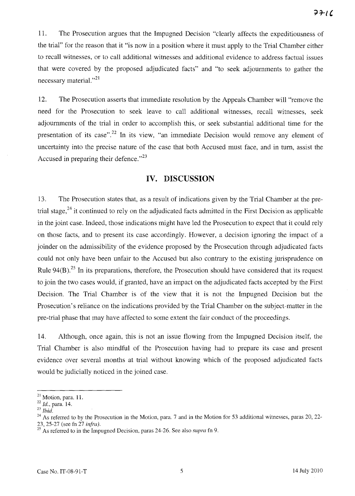11. The Prosecution argues that the Impugned Decision "clearly affects the expeditiousness of the trial" for the reason that it "is now in a position where it must apply to the Trial Chamber either to recall witnesses, or to call additional witnesses and additional evidence to address factual issues that were covered by the proposed adjudicated facts" and "to seek adjournments to gather the necessary material."<sup>21</sup>

12. The Prosecution asserts that immediate resolution by the Appeals Chamber will "remove the need for the Prosecution to seek leave to call additional witnesses, recall witnesses, seek adjournments of the trial in order to accomplish this, or seek substantial additional time for the presentation of its case".<sup>22</sup> In its view, "an immediate Decision would remove any element of uncertainty into the precise nature of the case that both Accused must face, and in turn, assist the Accused in preparing their defence. $n^{23}$ 

## **IV. DISCUSSION**

13. The Prosecution states that, as a result of indications given by the Trial Chamber at the pretrial stage, $^{24}$  it continued to rely on the adjudicated facts admitted in the First Decision as applicable in the joint case. Indeed, those indications might have led the Prosecution to expect that it could rely on those facts, and to present its case accordingly. However, a decision ignoring the impact of a joinder on the admissibility of the evidence proposed by the Prosecution through adjudicated facts could not only have been unfair to the Accused but also contrary to the existing jurisprudence on Rule  $94(B)$ .<sup>25</sup> In its preparations, therefore, the Prosecution should have considered that its request to join the two cases would, if granted, have an impact on the adjudicated facts accepted by the First Decision. The Trial Chamber is of the view that it is not the Impugned Decision but the Prosecution's reliance on the indications provided by the Trial Chamber on the subject-matter in the pre-trial phase that may have affected to some extent the fair conduct of the proceedings.

14. Although, once again, this is not an issue flowing from the Impugned Decision itself, the Trial Chamber is also mindful of the Prosecution having had to prepare its case and present evidence over several months at trial without knowing which of the proposed adjudicated facts would be judicially noticed in the joined case.

 $21$  Motion, para. 11.

<sup>22</sup>*Id.,* para. 14.

<sup>23</sup>*Ibid.* 

<sup>&</sup>lt;sup>24</sup> As referred to by the Prosecution in the Motion, para. 7 and in the Motion for 53 additional witnesses, paras 20, 22-23,25-27 (see fn 27 *infra).* 

<sup>25</sup> As referred to in the Impugned Decision, paras 24-26. See also *supra* fn 9.